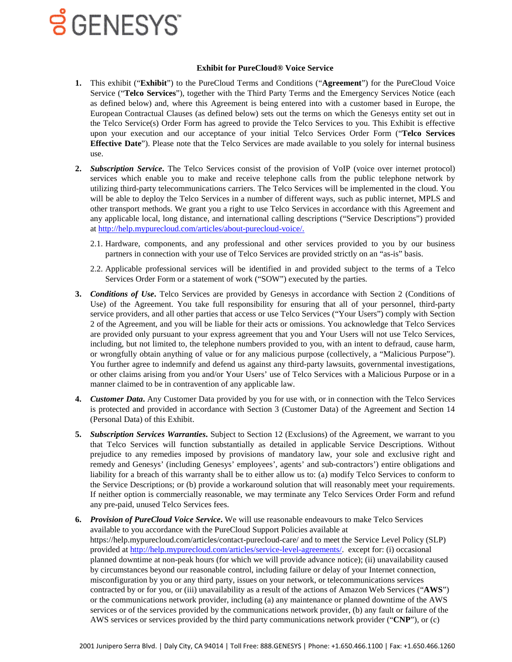#### **Exhibit for PureCloud® Voice Service**

- **1.** This exhibit ("**Exhibit**") to the PureCloud Terms and Conditions ("**Agreement**") for the PureCloud Voice Service ("**Telco Services**"), together with the Third Party Terms and the Emergency Services Notice (each as defined below) and, where this Agreement is being entered into with a customer based in Europe, the European Contractual Clauses (as defined below) sets out the terms on which the Genesys entity set out in the Telco Service(s) Order Form has agreed to provide the Telco Services to you. This Exhibit is effective upon your execution and our acceptance of your initial Telco Services Order Form ("**Telco Services Effective Date**"). Please note that the Telco Services are made available to you solely for internal business use.
- **2.** *Subscription Service***.** The Telco Services consist of the provision of VoIP (voice over internet protocol) services which enable you to make and receive telephone calls from the public telephone network by utilizing third-party telecommunications carriers. The Telco Services will be implemented in the cloud. You will be able to deploy the Telco Services in a number of different ways, such as public internet, MPLS and other transport methods. We grant you a right to use Telco Services in accordance with this Agreement and any applicable local, long distance, and international calling descriptions ("Service Descriptions") provided a[t http://help.mypurecloud.com/articles/about-purecloud-voice/.](http://help.mypurecloud.com/articles/about-purecloud-voice/)
	- 2.1. Hardware, components, and any professional and other services provided to you by our business partners in connection with your use of Telco Services are provided strictly on an "as-is" basis.
	- 2.2. Applicable professional services will be identified in and provided subject to the terms of a Telco Services Order Form or a statement of work ("SOW") executed by the parties.
- **3.** *Conditions of Use***.** Telco Services are provided by Genesys in accordance with Section 2 (Conditions of Use) of the Agreement. You take full responsibility for ensuring that all of your personnel, third-party service providers, and all other parties that access or use Telco Services ("Your Users") comply with Section 2 of the Agreement, and you will be liable for their acts or omissions. You acknowledge that Telco Services are provided only pursuant to your express agreement that you and Your Users will not use Telco Services, including, but not limited to, the telephone numbers provided to you, with an intent to defraud, cause harm, or wrongfully obtain anything of value or for any malicious purpose (collectively, a "Malicious Purpose"). You further agree to indemnify and defend us against any third-party lawsuits, governmental investigations, or other claims arising from you and/or Your Users' use of Telco Services with a Malicious Purpose or in a manner claimed to be in contravention of any applicable law.
- **4.** *Customer Data***.** Any Customer Data provided by you for use with, or in connection with the Telco Services is protected and provided in accordance with Section 3 (Customer Data) of the Agreement and Section 14 (Personal Data) of this Exhibit.
- **5.** *Subscription Services Warranties***.** Subject to Section 12 (Exclusions) of the Agreement, we warrant to you that Telco Services will function substantially as detailed in applicable Service Descriptions. Without prejudice to any remedies imposed by provisions of mandatory law, your sole and exclusive right and remedy and Genesys' (including Genesys' employees', agents' and sub-contractors') entire obligations and liability for a breach of this warranty shall be to either allow us to: (a) modify Telco Services to conform to the Service Descriptions; or (b) provide a workaround solution that will reasonably meet your requirements. If neither option is commercially reasonable, we may terminate any Telco Services Order Form and refund any pre-paid, unused Telco Services fees.
- **6.** *Provision of PureCloud Voice Service***.** We will use reasonable endeavours to make Telco Services available to you accordance with the PureCloud Support Policies available at https://help.mypurecloud.com/articles/contact-purecloud-care/ and to meet the Service Level Policy (SLP) provided at [http://help.mypurecloud.com/articles/service-level-agreements/.](http://help.mypurecloud.com/articles/service-level-agreements/) except for: (i) occasional planned downtime at non-peak hours (for which we will provide advance notice); (ii) unavailability caused by circumstances beyond our reasonable control, including failure or delay of your Internet connection, misconfiguration by you or any third party, issues on your network, or telecommunications services contracted by or for you, or (iii) unavailability as a result of the actions of Amazon Web Services ("**AWS**") or the communications network provider, including (a) any maintenance or planned downtime of the AWS services or of the services provided by the communications network provider, (b) any fault or failure of the AWS services or services provided by the third party communications network provider ("**CNP**"), or (c)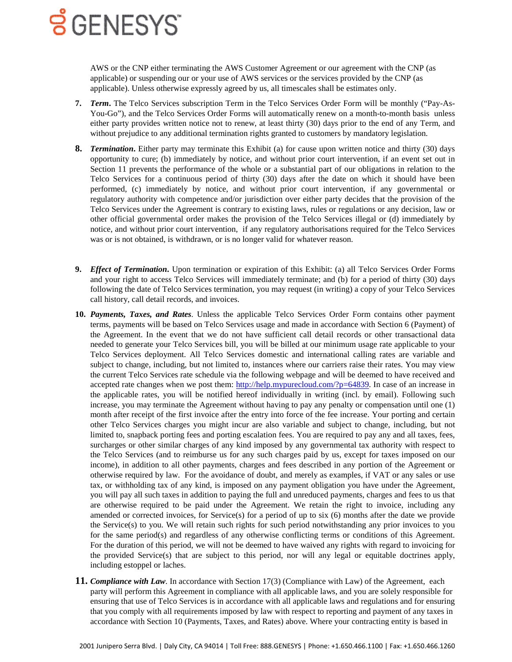AWS or the CNP either terminating the AWS Customer Agreement or our agreement with the CNP (as applicable) or suspending our or your use of AWS services or the services provided by the CNP (as applicable). Unless otherwise expressly agreed by us, all timescales shall be estimates only.

- **7.** *Term***.** The Telco Services subscription Term in the Telco Services Order Form will be monthly ("Pay-As-You-Go"), and the Telco Services Order Forms will automatically renew on a month-to-month basis unless either party provides written notice not to renew, at least thirty (30) days prior to the end of any Term, and without prejudice to any additional termination rights granted to customers by mandatory legislation.
- **8.** *Termination***.** Either party may terminate this Exhibit (a) for cause upon written notice and thirty (30) days opportunity to cure; (b) immediately by notice, and without prior court intervention, if an event set out in Section 11 prevents the performance of the whole or a substantial part of our obligations in relation to the Telco Services for a continuous period of thirty (30) days after the date on which it should have been performed, (c) immediately by notice, and without prior court intervention, if any governmental or regulatory authority with competence and/or jurisdiction over either party decides that the provision of the Telco Services under the Agreement is contrary to existing laws, rules or regulations or any decision, law or other official governmental order makes the provision of the Telco Services illegal or (d) immediately by notice, and without prior court intervention, if any regulatory authorisations required for the Telco Services was or is not obtained, is withdrawn, or is no longer valid for whatever reason.
- **9.** *Effect of Termination***.** Upon termination or expiration of this Exhibit: (a) all Telco Services Order Forms and your right to access Telco Services will immediately terminate; and (b) for a period of thirty (30) days following the date of Telco Services termination, you may request (in writing) a copy of your Telco Services call history, call detail records, and invoices.
- **10.** *Payments, Taxes, and Rates*. Unless the applicable Telco Services Order Form contains other payment terms, payments will be based on Telco Services usage and made in accordance with Section 6 (Payment) of the Agreement. In the event that we do not have sufficient call detail records or other transactional data needed to generate your Telco Services bill, you will be billed at our minimum usage rate applicable to your Telco Services deployment. All Telco Services domestic and international calling rates are variable and subject to change, including, but not limited to, instances where our carriers raise their rates. You may view the current Telco Services rate schedule via the following webpage and will be deemed to have received and accepted rate changes when we post them: [http://help.mypurecloud.com/?p=64839.](http://help.mypurecloud.com/?p=64839) In case of an increase in the applicable rates, you will be notified hereof individually in writing (incl. by email). Following such increase, you may terminate the Agreement without having to pay any penalty or compensation until one (1) month after receipt of the first invoice after the entry into force of the fee increase. Your porting and certain other Telco Services charges you might incur are also variable and subject to change, including, but not limited to, snapback porting fees and porting escalation fees. You are required to pay any and all taxes, fees, surcharges or other similar charges of any kind imposed by any governmental tax authority with respect to the Telco Services (and to reimburse us for any such charges paid by us, except for taxes imposed on our income), in addition to all other payments, charges and fees described in any portion of the Agreement or otherwise required by law. For the avoidance of doubt, and merely as examples, if VAT or any sales or use tax, or withholding tax of any kind, is imposed on any payment obligation you have under the Agreement, you will pay all such taxes in addition to paying the full and unreduced payments, charges and fees to us that are otherwise required to be paid under the Agreement. We retain the right to invoice, including any amended or corrected invoices, for Service(s) for a period of up to six (6) months after the date we provide the Service(s) to you. We will retain such rights for such period notwithstanding any prior invoices to you for the same period(s) and regardless of any otherwise conflicting terms or conditions of this Agreement. For the duration of this period, we will not be deemed to have waived any rights with regard to invoicing for the provided Service(s) that are subject to this period, nor will any legal or equitable doctrines apply, including estoppel or laches.
- **11.** *Compliance with Law*. In accordance with Section 17(3) (Compliance with Law) of the Agreement, each party will perform this Agreement in compliance with all applicable laws, and you are solely responsible for ensuring that use of Telco Services is in accordance with all applicable laws and regulations and for ensuring that you comply with all requirements imposed by law with respect to reporting and payment of any taxes in accordance with Section 10 (Payments, Taxes, and Rates) above. Where your contracting entity is based in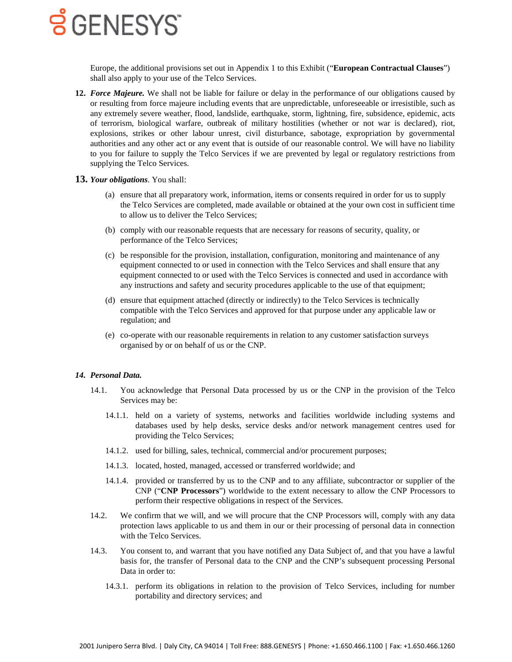Europe, the additional provisions set out in Appendix 1 to this Exhibit ("**European Contractual Clauses**") shall also apply to your use of the Telco Services.

**12.** *Force Majeure.* We shall not be liable for failure or delay in the performance of our obligations caused by or resulting from force majeure including events that are unpredictable, unforeseeable or irresistible, such as any extremely severe weather, flood, landslide, earthquake, storm, lightning, fire, subsidence, epidemic, acts of terrorism, biological warfare, outbreak of military hostilities (whether or not war is declared), riot, explosions, strikes or other labour unrest, civil disturbance, sabotage, expropriation by governmental authorities and any other act or any event that is outside of our reasonable control. We will have no liability to you for failure to supply the Telco Services if we are prevented by legal or regulatory restrictions from supplying the Telco Services.

#### **13.** *Your obligations*. You shall:

- (a) ensure that all preparatory work, information, items or consents required in order for us to supply the Telco Services are completed, made available or obtained at the your own cost in sufficient time to allow us to deliver the Telco Services;
- (b) comply with our reasonable requests that are necessary for reasons of security, quality, or performance of the Telco Services;
- (c) be responsible for the provision, installation, configuration, monitoring and maintenance of any equipment connected to or used in connection with the Telco Services and shall ensure that any equipment connected to or used with the Telco Services is connected and used in accordance with any instructions and safety and security procedures applicable to the use of that equipment;
- (d) ensure that equipment attached (directly or indirectly) to the Telco Services is technically compatible with the Telco Services and approved for that purpose under any applicable law or regulation; and
- (e) co-operate with our reasonable requirements in relation to any customer satisfaction surveys organised by or on behalf of us or the CNP.

#### *14. Personal Data.*

- 14.1. You acknowledge that Personal Data processed by us or the CNP in the provision of the Telco Services may be:
	- 14.1.1. held on a variety of systems, networks and facilities worldwide including systems and databases used by help desks, service desks and/or network management centres used for providing the Telco Services;
	- 14.1.2. used for billing, sales, technical, commercial and/or procurement purposes;
	- 14.1.3. located, hosted, managed, accessed or transferred worldwide; and
	- 14.1.4. provided or transferred by us to the CNP and to any affiliate, subcontractor or supplier of the CNP ("**CNP Processors**") worldwide to the extent necessary to allow the CNP Processors to perform their respective obligations in respect of the Services.
- 14.2. We confirm that we will, and we will procure that the CNP Processors will, comply with any data protection laws applicable to us and them in our or their processing of personal data in connection with the Telco Services.
- 14.3. You consent to, and warrant that you have notified any Data Subject of, and that you have a lawful basis for, the transfer of Personal data to the CNP and the CNP's subsequent processing Personal Data in order to:
	- 14.3.1. perform its obligations in relation to the provision of Telco Services, including for number portability and directory services; and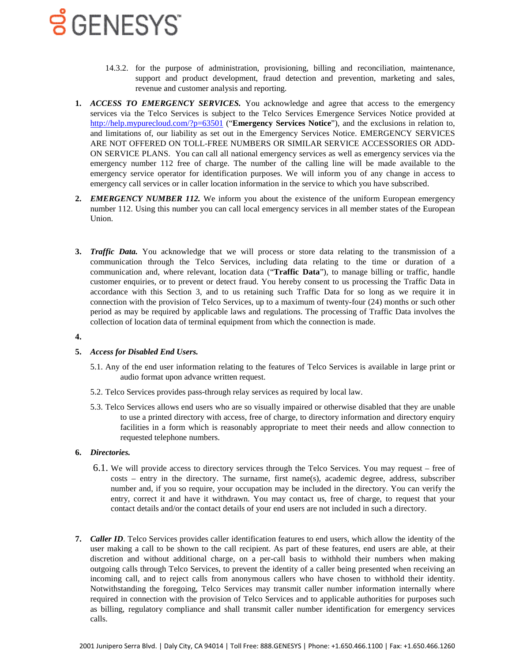- 14.3.2. for the purpose of administration, provisioning, billing and reconciliation, maintenance, support and product development, fraud detection and prevention, marketing and sales, revenue and customer analysis and reporting.
- **1.** *ACCESS TO EMERGENCY SERVICES.* You acknowledge and agree that access to the emergency services via the Telco Services is subject to the Telco Services Emergence Services Notice provided at <http://help.mypurecloud.com/?p=63501> ("**Emergency Services Notice**"), and the exclusions in relation to, and limitations of, our liability as set out in the Emergency Services Notice. EMERGENCY SERVICES ARE NOT OFFERED ON TOLL-FREE NUMBERS OR SIMILAR SERVICE ACCESSORIES OR ADD-ON SERVICE PLANS. You can call all national emergency services as well as emergency services via the emergency number 112 free of charge. The number of the calling line will be made available to the emergency service operator for identification purposes. We will inform you of any change in access to emergency call services or in caller location information in the service to which you have subscribed.
- **2.** *EMERGENCY NUMBER 112.* We inform you about the existence of the uniform European emergency number 112. Using this number you can call local emergency services in all member states of the European Union.
- <span id="page-3-0"></span>**3.** *Traffic Data.* You acknowledge that we will process or store data relating to the transmission of a communication through the Telco Services, including data relating to the time or duration of a communication and, where relevant, location data ("**Traffic Data**"), to manage billing or traffic, handle customer enquiries, or to prevent or detect fraud. You hereby consent to us processing the Traffic Data in accordance with this Section [3,](#page-3-0) and to us retaining such Traffic Data for so long as we require it in connection with the provision of Telco Services, up to a maximum of twenty-four (24) months or such other period as may be required by applicable laws and regulations. The processing of Traffic Data involves the collection of location data of terminal equipment from which the connection is made.

#### **4.**

#### **5.** *Access for Disabled End Users.*

- 5.1. Any of the end user information relating to the features of Telco Services is available in large print or audio format upon advance written request.
- 5.2. Telco Services provides pass-through relay services as required by local law.
- 5.3. Telco Services allows end users who are so visually impaired or otherwise disabled that they are unable to use a printed directory with access, free of charge, to directory information and directory enquiry facilities in a form which is reasonably appropriate to meet their needs and allow connection to requested telephone numbers.

#### **6.** *Directories.*

- 6.1. We will provide access to directory services through the Telco Services. You may request free of costs – entry in the directory. The surname, first name(s), academic degree, address, subscriber number and, if you so require, your occupation may be included in the directory. You can verify the entry, correct it and have it withdrawn. You may contact us, free of charge, to request that your contact details and/or the contact details of your end users are not included in such a directory.
- **7.** *Caller ID*. Telco Services provides caller identification features to end users, which allow the identity of the user making a call to be shown to the call recipient. As part of these features, end users are able, at their discretion and without additional charge, on a per-call basis to withhold their numbers when making outgoing calls through Telco Services, to prevent the identity of a caller being presented when receiving an incoming call, and to reject calls from anonymous callers who have chosen to withhold their identity. Notwithstanding the foregoing, Telco Services may transmit caller number information internally where required in connection with the provision of Telco Services and to applicable authorities for purposes such as billing, regulatory compliance and shall transmit caller number identification for emergency services calls.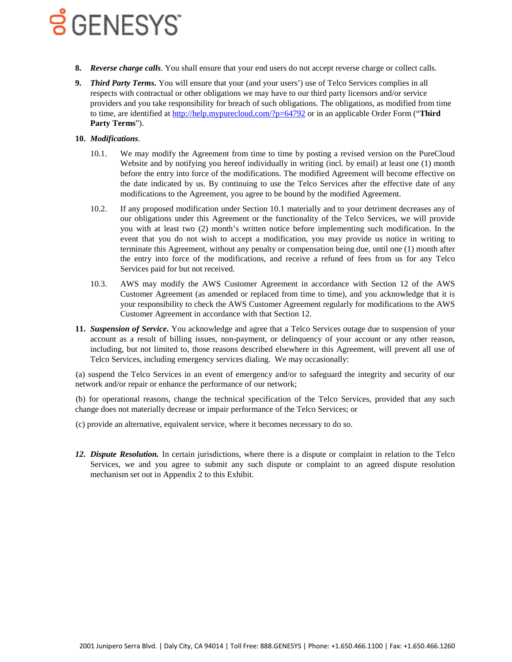- **8.** *Reverse charge calls*. You shall ensure that your end users do not accept reverse charge or collect calls.
- **9.** *Third Party Terms***.** You will ensure that your (and your users') use of Telco Services complies in all respects with contractual or other obligations we may have to our third party licensors and/or service providers and you take responsibility for breach of such obligations. The obligations, as modified from time to time, are identified at<http://help.mypurecloud.com/?p=64792> or in an applicable Order Form ("**Third Party Terms**").

### <span id="page-4-0"></span>**10.** *Modifications*.

- 10.1. We may modify the Agreement from time to time by posting a revised version on the PureCloud Website and by notifying you hereof individually in writing (incl. by email) at least one (1) month before the entry into force of the modifications. The modified Agreement will become effective on the date indicated by us. By continuing to use the Telco Services after the effective date of any modifications to the Agreement, you agree to be bound by the modified Agreement.
- 10.2. If any proposed modification under Section [10.1](#page-4-0) materially and to your detriment decreases any of our obligations under this Agreement or the functionality of the Telco Services, we will provide you with at least two (2) month's written notice before implementing such modification. In the event that you do not wish to accept a modification, you may provide us notice in writing to terminate this Agreement, without any penalty or compensation being due, until one (1) month after the entry into force of the modifications, and receive a refund of fees from us for any Telco Services paid for but not received.
- 10.3. AWS may modify the AWS Customer Agreement in accordance with Section 12 of the AWS Customer Agreement (as amended or replaced from time to time), and you acknowledge that it is your responsibility to check the AWS Customer Agreement regularly for modifications to the AWS Customer Agreement in accordance with that Section 12.
- **11.** *Suspension of Service***.** You acknowledge and agree that a Telco Services outage due to suspension of your account as a result of billing issues, non-payment, or delinquency of your account or any other reason, including, but not limited to, those reasons described elsewhere in this Agreement, will prevent all use of Telco Services, including emergency services dialing. We may occasionally:

(a) suspend the Telco Services in an event of emergency and/or to safeguard the integrity and security of our network and/or repair or enhance the performance of our network;

(b) for operational reasons, change the technical specification of the Telco Services, provided that any such change does not materially decrease or impair performance of the Telco Services; or

- (c) provide an alternative, equivalent service, where it becomes necessary to do so.
- *12. Dispute Resolution.* In certain jurisdictions, where there is a dispute or complaint in relation to the Telco Services, we and you agree to submit any such dispute or complaint to an agreed dispute resolution mechanism set out in Appendix 2 to this Exhibit.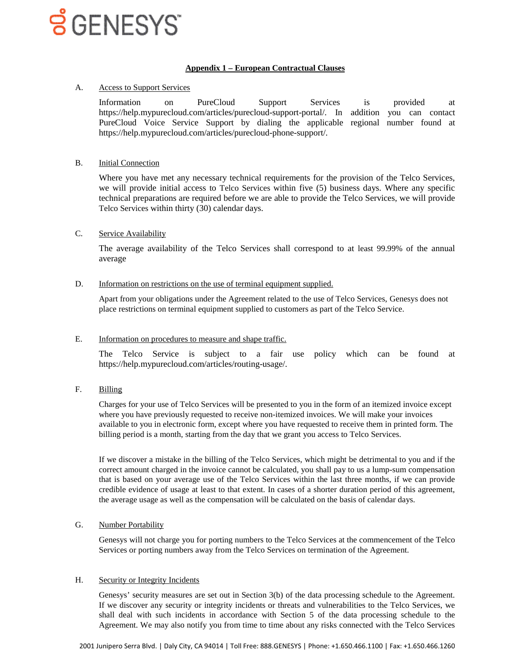### **Appendix 1 – European Contractual Clauses**

## A. Access to Support Services

Information on PureCloud Support Services is provided at https://help.mypurecloud.com/articles/purecloud-support-portal/. In addition you can contact PureCloud Voice Service Support by dialing the applicable regional number found at https://help.mypurecloud.com/articles/purecloud-phone-support/.

### B. Initial Connection

Where you have met any necessary technical requirements for the provision of the Telco Services, we will provide initial access to Telco Services within five (5) business days. Where any specific technical preparations are required before we are able to provide the Telco Services, we will provide Telco Services within thirty (30) calendar days.

## C. Service Availability

The average availability of the Telco Services shall correspond to at least 99.99% of the annual average

#### D. Information on restrictions on the use of terminal equipment supplied.

Apart from your obligations under the Agreement related to the use of Telco Services, Genesys does not place restrictions on terminal equipment supplied to customers as part of the Telco Service.

#### E. Information on procedures to measure and shape traffic.

The Telco Service is subject to a fair use policy which can be found at https://help.mypurecloud.com/articles/routing-usage/.

F. Billing

Charges for your use of Telco Services will be presented to you in the form of an itemized invoice except where you have previously requested to receive non-itemized invoices. We will make your invoices available to you in electronic form, except where you have requested to receive them in printed form. The billing period is a month, starting from the day that we grant you access to Telco Services.

If we discover a mistake in the billing of the Telco Services, which might be detrimental to you and if the correct amount charged in the invoice cannot be calculated, you shall pay to us a lump-sum compensation that is based on your average use of the Telco Services within the last three months, if we can provide credible evidence of usage at least to that extent. In cases of a shorter duration period of this agreement, the average usage as well as the compensation will be calculated on the basis of calendar days.

### G. Number Portability

Genesys will not charge you for porting numbers to the Telco Services at the commencement of the Telco Services or porting numbers away from the Telco Services on termination of the Agreement.

#### H. Security or Integrity Incidents

Genesys' security measures are set out in Section 3(b) of the data processing schedule to the Agreement. If we discover any security or integrity incidents or threats and vulnerabilities to the Telco Services, we shall deal with such incidents in accordance with Section 5 of the data processing schedule to the Agreement. We may also notify you from time to time about any risks connected with the Telco Services